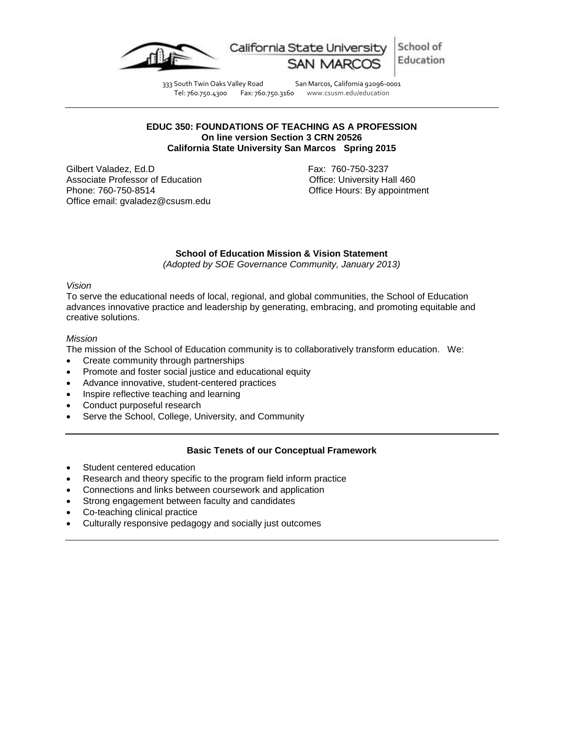

School of California State University Education

333 South Twin Oaks Valley Road San Marcos, California 92096-0001<br>Tel: 760.750.4300 Fax: 760.750.3160 www.csusm.edu/education

www.csusm.edu/education

## **EDUC 350: FOUNDATIONS OF TEACHING AS A PROFESSION On line version Section 3 CRN 20526 California State University San Marcos Spring 2015**

Gilbert Valadez, Ed.D **Fax: 760-750-3237** Associate Professor of Education **Container Containers** Office: University Hall 460 Phone: 760-750-8514 Office Hours: By appointment Office email: gvaladez@csusm.edu

## **School of Education Mission & Vision Statement**

*(Adopted by SOE Governance Community, January 2013)*

## *Vision*

To serve the educational needs of local, regional, and global communities, the School of Education advances innovative practice and leadership by generating, embracing, and promoting equitable and creative solutions.

## *Mission*

The mission of the School of Education community is to collaboratively transform education. We:

- Create community through partnerships
- Promote and foster social justice and educational equity
- Advance innovative, student-centered practices
- Inspire reflective teaching and learning
- Conduct purposeful research
- Serve the School, College, University, and Community

## **Basic Tenets of our Conceptual Framework**

- Student centered education
- Research and theory specific to the program field inform practice
- Connections and links between coursework and application
- Strong engagement between faculty and candidates
- Co-teaching clinical practice
- Culturally responsive pedagogy and socially just outcomes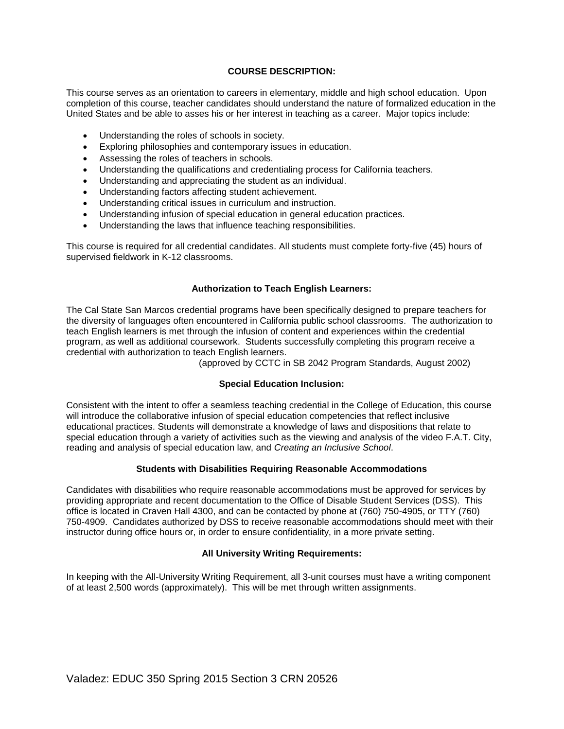## **COURSE DESCRIPTION:**

This course serves as an orientation to careers in elementary, middle and high school education. Upon completion of this course, teacher candidates should understand the nature of formalized education in the United States and be able to asses his or her interest in teaching as a career. Major topics include:

- Understanding the roles of schools in society.
- Exploring philosophies and contemporary issues in education.
- Assessing the roles of teachers in schools.
- Understanding the qualifications and credentialing process for California teachers.
- Understanding and appreciating the student as an individual.
- Understanding factors affecting student achievement.
- Understanding critical issues in curriculum and instruction.
- Understanding infusion of special education in general education practices.
- Understanding the laws that influence teaching responsibilities.

This course is required for all credential candidates. All students must complete forty-five (45) hours of supervised fieldwork in K-12 classrooms.

## **Authorization to Teach English Learners:**

The Cal State San Marcos credential programs have been specifically designed to prepare teachers for the diversity of languages often encountered in California public school classrooms. The authorization to teach English learners is met through the infusion of content and experiences within the credential program, as well as additional coursework. Students successfully completing this program receive a credential with authorization to teach English learners.

(approved by CCTC in SB 2042 Program Standards, August 2002)

## **Special Education Inclusion:**

Consistent with the intent to offer a seamless teaching credential in the College of Education, this course will introduce the collaborative infusion of special education competencies that reflect inclusive educational practices. Students will demonstrate a knowledge of laws and dispositions that relate to special education through a variety of activities such as the viewing and analysis of the video F.A.T. City, reading and analysis of special education law, and *Creating an Inclusive School*.

## **Students with Disabilities Requiring Reasonable Accommodations**

Candidates with disabilities who require reasonable accommodations must be approved for services by providing appropriate and recent documentation to the Office of Disable Student Services (DSS). This office is located in Craven Hall 4300, and can be contacted by phone at (760) 750-4905, or TTY (760) 750-4909. Candidates authorized by DSS to receive reasonable accommodations should meet with their instructor during office hours or, in order to ensure confidentiality, in a more private setting.

## **All University Writing Requirements:**

In keeping with the All-University Writing Requirement, all 3-unit courses must have a writing component of at least 2,500 words (approximately). This will be met through written assignments.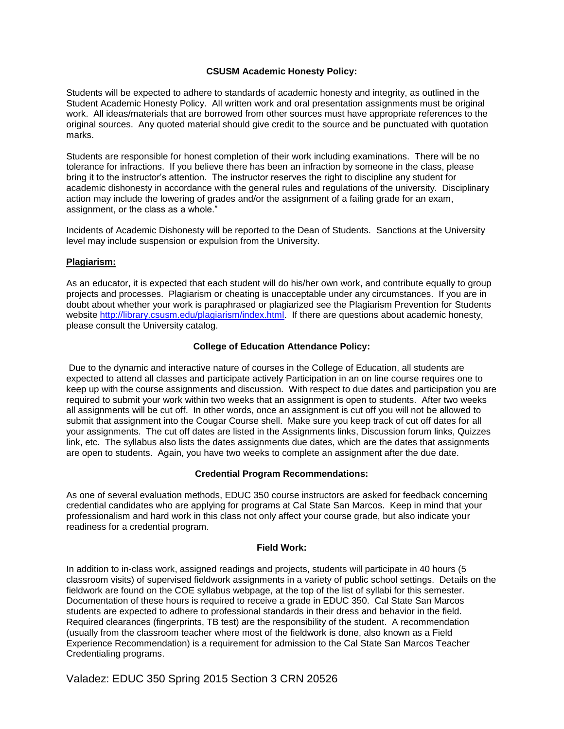## **CSUSM Academic Honesty Policy:**

Students will be expected to adhere to standards of academic honesty and integrity, as outlined in the Student Academic Honesty Policy. All written work and oral presentation assignments must be original work. All ideas/materials that are borrowed from other sources must have appropriate references to the original sources. Any quoted material should give credit to the source and be punctuated with quotation marks.

Students are responsible for honest completion of their work including examinations. There will be no tolerance for infractions. If you believe there has been an infraction by someone in the class, please bring it to the instructor's attention. The instructor reserves the right to discipline any student for academic dishonesty in accordance with the general rules and regulations of the university. Disciplinary action may include the lowering of grades and/or the assignment of a failing grade for an exam, assignment, or the class as a whole."

Incidents of Academic Dishonesty will be reported to the Dean of Students. Sanctions at the University level may include suspension or expulsion from the University.

## **Plagiarism:**

As an educator, it is expected that each student will do his/her own work, and contribute equally to group projects and processes. Plagiarism or cheating is unacceptable under any circumstances. If you are in doubt about whether your work is paraphrased or plagiarized see the Plagiarism Prevention for Students website [http://library.csusm.edu/plagiarism/index.html.](http://library.csusm.edu/plagiarism/index.html) If there are questions about academic honesty, please consult the University catalog.

## **College of Education Attendance Policy:**

Due to the dynamic and interactive nature of courses in the College of Education, all students are expected to attend all classes and participate actively Participation in an on line course requires one to keep up with the course assignments and discussion. With respect to due dates and participation you are required to submit your work within two weeks that an assignment is open to students. After two weeks all assignments will be cut off. In other words, once an assignment is cut off you will not be allowed to submit that assignment into the Cougar Course shell. Make sure you keep track of cut off dates for all your assignments. The cut off dates are listed in the Assignments links, Discussion forum links, Quizzes link, etc. The syllabus also lists the dates assignments due dates, which are the dates that assignments are open to students. Again, you have two weeks to complete an assignment after the due date.

## **Credential Program Recommendations:**

As one of several evaluation methods, EDUC 350 course instructors are asked for feedback concerning credential candidates who are applying for programs at Cal State San Marcos. Keep in mind that your professionalism and hard work in this class not only affect your course grade, but also indicate your readiness for a credential program.

#### **Field Work:**

In addition to in-class work, assigned readings and projects, students will participate in 40 hours (5 classroom visits) of supervised fieldwork assignments in a variety of public school settings. Details on the fieldwork are found on the COE syllabus webpage, at the top of the list of syllabi for this semester. Documentation of these hours is required to receive a grade in EDUC 350. Cal State San Marcos students are expected to adhere to professional standards in their dress and behavior in the field. Required clearances (fingerprints, TB test) are the responsibility of the student. A recommendation (usually from the classroom teacher where most of the fieldwork is done, also known as a Field Experience Recommendation) is a requirement for admission to the Cal State San Marcos Teacher Credentialing programs.

Valadez: EDUC 350 Spring 2015 Section 3 CRN 20526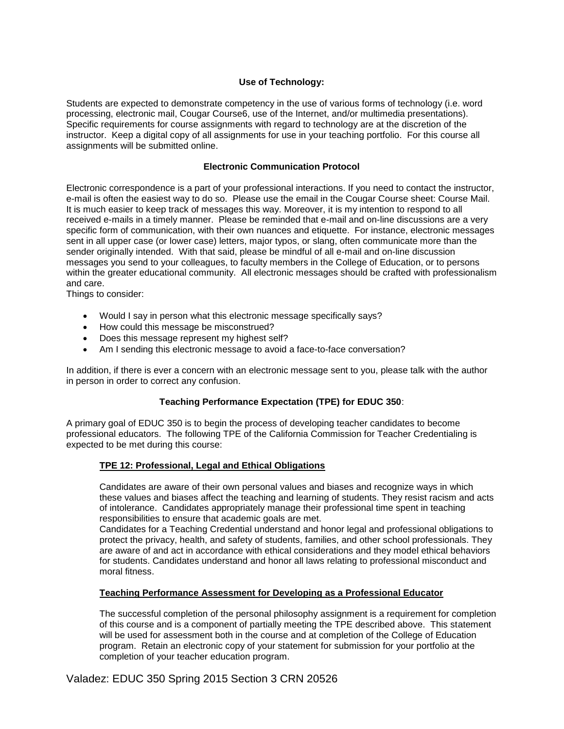## **Use of Technology:**

Students are expected to demonstrate competency in the use of various forms of technology (i.e. word processing, electronic mail, Cougar Course6, use of the Internet, and/or multimedia presentations). Specific requirements for course assignments with regard to technology are at the discretion of the instructor. Keep a digital copy of all assignments for use in your teaching portfolio. For this course all assignments will be submitted online.

## **Electronic Communication Protocol**

Electronic correspondence is a part of your professional interactions. If you need to contact the instructor, e-mail is often the easiest way to do so. Please use the email in the Cougar Course sheet: Course Mail. It is much easier to keep track of messages this way. Moreover, it is my intention to respond to all received e-mails in a timely manner. Please be reminded that e-mail and on-line discussions are a very specific form of communication, with their own nuances and etiquette. For instance, electronic messages sent in all upper case (or lower case) letters, major typos, or slang, often communicate more than the sender originally intended. With that said, please be mindful of all e-mail and on-line discussion messages you send to your colleagues, to faculty members in the College of Education, or to persons within the greater educational community. All electronic messages should be crafted with professionalism and care.

Things to consider:

- Would I say in person what this electronic message specifically says?
- How could this message be misconstrued?
- Does this message represent my highest self?
- Am I sending this electronic message to avoid a face-to-face conversation?

In addition, if there is ever a concern with an electronic message sent to you, please talk with the author in person in order to correct any confusion.

## **Teaching Performance Expectation (TPE) for EDUC 350**:

A primary goal of EDUC 350 is to begin the process of developing teacher candidates to become professional educators. The following TPE of the California Commission for Teacher Credentialing is expected to be met during this course:

## **TPE 12: Professional, Legal and Ethical Obligations**

Candidates are aware of their own personal values and biases and recognize ways in which these values and biases affect the teaching and learning of students. They resist racism and acts of intolerance. Candidates appropriately manage their professional time spent in teaching responsibilities to ensure that academic goals are met.

Candidates for a Teaching Credential understand and honor legal and professional obligations to protect the privacy, health, and safety of students, families, and other school professionals. They are aware of and act in accordance with ethical considerations and they model ethical behaviors for students. Candidates understand and honor all laws relating to professional misconduct and moral fitness.

## **Teaching Performance Assessment for Developing as a Professional Educator**

The successful completion of the personal philosophy assignment is a requirement for completion of this course and is a component of partially meeting the TPE described above. This statement will be used for assessment both in the course and at completion of the College of Education program. Retain an electronic copy of your statement for submission for your portfolio at the completion of your teacher education program.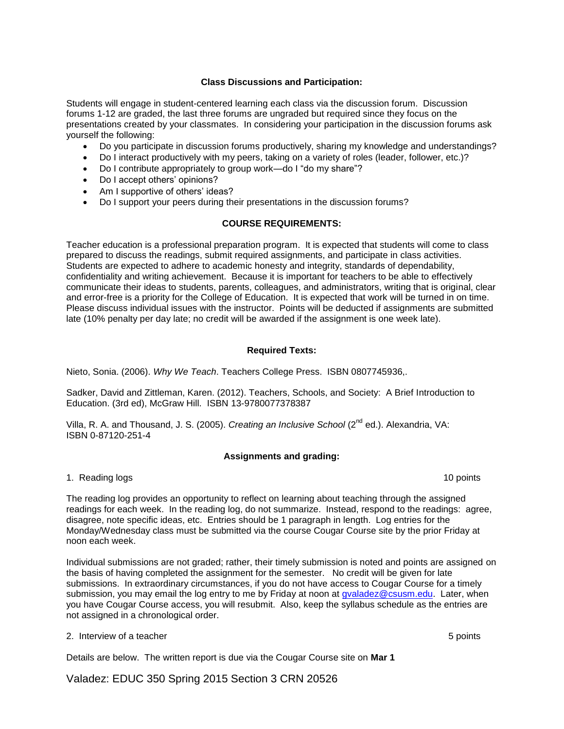## **Class Discussions and Participation:**

Students will engage in student-centered learning each class via the discussion forum. Discussion forums 1-12 are graded, the last three forums are ungraded but required since they focus on the presentations created by your classmates. In considering your participation in the discussion forums ask yourself the following:

- Do you participate in discussion forums productively, sharing my knowledge and understandings?
- Do I interact productively with my peers, taking on a variety of roles (leader, follower, etc.)?
- Do I contribute appropriately to group work—do I "do my share"?
- Do I accept others' opinions?
- Am I supportive of others' ideas?
- Do I support your peers during their presentations in the discussion forums?

## **COURSE REQUIREMENTS:**

Teacher education is a professional preparation program. It is expected that students will come to class prepared to discuss the readings, submit required assignments, and participate in class activities. Students are expected to adhere to academic honesty and integrity, standards of dependability, confidentiality and writing achievement. Because it is important for teachers to be able to effectively communicate their ideas to students, parents, colleagues, and administrators, writing that is original, clear and error-free is a priority for the College of Education. It is expected that work will be turned in on time. Please discuss individual issues with the instructor. Points will be deducted if assignments are submitted late (10% penalty per day late; no credit will be awarded if the assignment is one week late).

## **Required Texts:**

Nieto, Sonia. (2006). *Why We Teach*. Teachers College Press. ISBN 0807745936,.

Sadker, David and Zittleman, Karen. (2012). Teachers, Schools, and Society: A Brief Introduction to Education. (3rd ed), McGraw Hill. ISBN 13-9780077378387

Villa, R. A. and Thousand, J. S. (2005). *Creating an Inclusive School* (2nd ed.). Alexandria, VA: ISBN 0-87120-251-4

## **Assignments and grading:**

1. Reading logs 10 points 10 points 10 points 10 points 10 points 10 points 10 points 10 points 10 points 10 points 10 points 10 points 10 points 10 points 10 points 10 points 10 points 10 points 10 points 10 points 10 poi

The reading log provides an opportunity to reflect on learning about teaching through the assigned readings for each week. In the reading log, do not summarize. Instead, respond to the readings: agree, disagree, note specific ideas, etc. Entries should be 1 paragraph in length. Log entries for the Monday/Wednesday class must be submitted via the course Cougar Course site by the prior Friday at noon each week.

Individual submissions are not graded; rather, their timely submission is noted and points are assigned on the basis of having completed the assignment for the semester. No credit will be given for late submissions. In extraordinary circumstances, if you do not have access to Cougar Course for a timely submission, you may email the log entry to me by Friday at noon at gyaladez@csusm.edu. Later, when you have Cougar Course access, you will resubmit. Also, keep the syllabus schedule as the entries are not assigned in a chronological order.

## 2. Interview of a teacher **5** points **2.** Interview of a teacher **5 points**

Details are below. The written report is due via the Cougar Course site on **Mar 1**

Valadez: EDUC 350 Spring 2015 Section 3 CRN 20526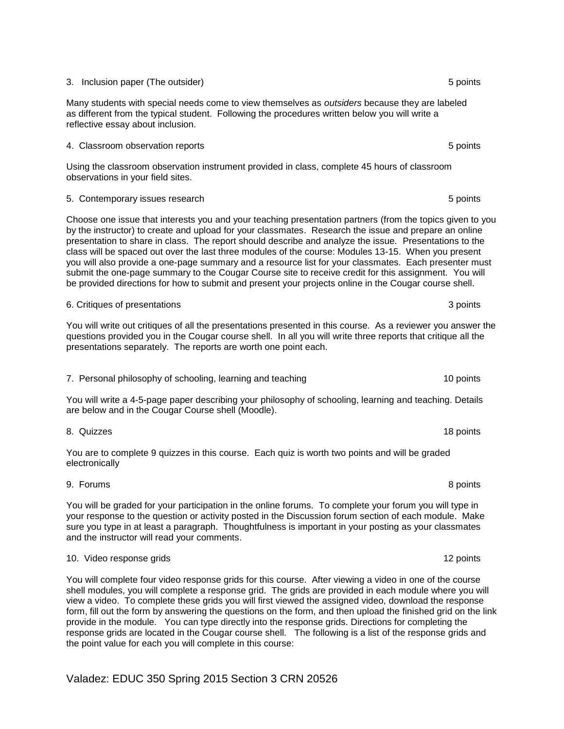# Valadez: EDUC 350 Spring 2015 Section 3 CRN 20526

## 3. Inclusion paper (The outsider) 3. Inclusion paper (The outsider) 3. Spoints

Many students with special needs come to view themselves as *outsiders* because they are labeled as different from the typical student. Following the procedures written below you will write a reflective essay about inclusion.

## A. Classroom observation reports **5 points** 5 points **5 points** 5 points

Using the classroom observation instrument provided in class, complete 45 hours of classroom observations in your field sites.

## 5. Contemporary issues research 5 points and  $\sim$  5 points of points  $\sim$  5 points 5 points

Choose one issue that interests you and your teaching presentation partners (from the topics given to you by the instructor) to create and upload for your classmates. Research the issue and prepare an online presentation to share in class. The report should describe and analyze the issue. Presentations to the class will be spaced out over the last three modules of the course: Modules 13-15. When you present you will also provide a one-page summary and a resource list for your classmates. Each presenter must submit the one-page summary to the Cougar Course site to receive credit for this assignment. You will be provided directions for how to submit and present your projects online in the Cougar course shell.

## 6. Critiques of presentations **3** points 3 points

You will write out critiques of all the presentations presented in this course. As a reviewer you answer the questions provided you in the Cougar course shell. In all you will write three reports that critique all the presentations separately. The reports are worth one point each.

## 7. Personal philosophy of schooling, learning and teaching 10 points 10 points

You will write a 4-5-page paper describing your philosophy of schooling, learning and teaching. Details are below and in the Cougar Course shell (Moodle).

## 8. Quizzes 18 points

You are to complete 9 quizzes in this course. Each quiz is worth two points and will be graded electronically

## 9. Forums 8 points and the set of the set of the set of the set of the set of the set of the set of the set of

You will be graded for your participation in the online forums. To complete your forum you will type in your response to the question or activity posted in the Discussion forum section of each module. Make sure you type in at least a paragraph. Thoughtfulness is important in your posting as your classmates and the instructor will read your comments.

## 10. Video response grids 12 points 12 points 12 points 12 points 12 points 12 points 12 points 12 points 12 points 12 points 12 points 12 points 12 points 12 points 12 points 12 points 12 points 12 points 12 points 12 poin

You will complete four video response grids for this course. After viewing a video in one of the course shell modules, you will complete a response grid. The grids are provided in each module where you will view a video. To complete these grids you will first viewed the assigned video, download the response form, fill out the form by answering the questions on the form, and then upload the finished grid on the link provide in the module. You can type directly into the response grids. Directions for completing the response grids are located in the Cougar course shell. The following is a list of the response grids and the point value for each you will complete in this course: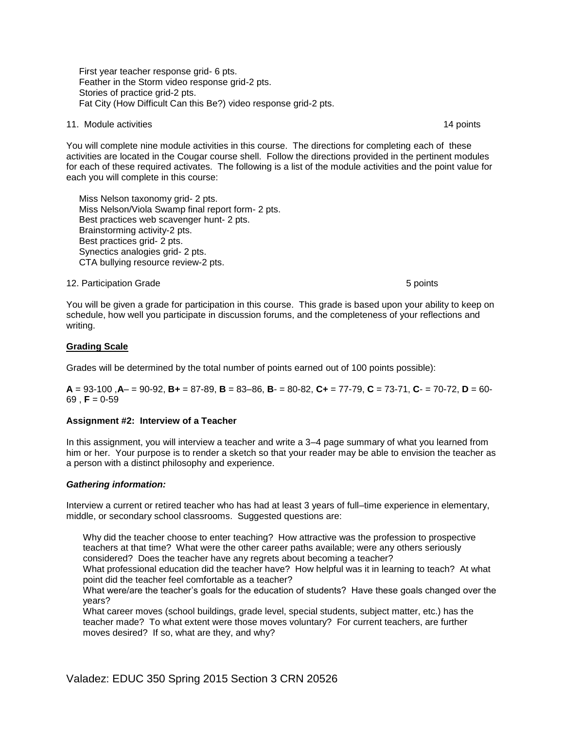First year teacher response grid- 6 pts. Feather in the Storm video response grid-2 pts. Stories of practice grid-2 pts. Fat City (How Difficult Can this Be?) video response grid-2 pts.

#### 11. Module activities **14 points** 14 points 14 points 14 points 14 points 14 points 14 points 14 points 14 points

You will complete nine module activities in this course. The directions for completing each of these activities are located in the Cougar course shell. Follow the directions provided in the pertinent modules for each of these required activates. The following is a list of the module activities and the point value for each you will complete in this course:

 Miss Nelson taxonomy grid- 2 pts. Miss Nelson/Viola Swamp final report form- 2 pts. Best practices web scavenger hunt- 2 pts. Brainstorming activity-2 pts. Best practices grid- 2 pts. Synectics analogies grid- 2 pts. CTA bullying resource review-2 pts.

#### 12. Participation Grade 5 points in the set of the set of the set of the set of the set of the set of the set o

You will be given a grade for participation in this course. This grade is based upon your ability to keep on schedule, how well you participate in discussion forums, and the completeness of your reflections and writing.

## **Grading Scale**

Grades will be determined by the total number of points earned out of 100 points possible):

**A** = 93-100 ,**A**– = 90-92, **B+** = 87-89, **B** = 83–86, **B**- = 80-82, **C+** = 77-79, **C** = 73-71, **C**- = 70-72, **D** = 60-  $69$ , **F** = 0-59

## **Assignment #2: Interview of a Teacher**

In this assignment, you will interview a teacher and write a 3–4 page summary of what you learned from him or her. Your purpose is to render a sketch so that your reader may be able to envision the teacher as a person with a distinct philosophy and experience.

## *Gathering information:*

Interview a current or retired teacher who has had at least 3 years of full–time experience in elementary, middle, or secondary school classrooms. Suggested questions are:

Why did the teacher choose to enter teaching? How attractive was the profession to prospective teachers at that time? What were the other career paths available; were any others seriously considered? Does the teacher have any regrets about becoming a teacher?

What professional education did the teacher have? How helpful was it in learning to teach? At what point did the teacher feel comfortable as a teacher?

What were/are the teacher's goals for the education of students? Have these goals changed over the years?

What career moves (school buildings, grade level, special students, subject matter, etc.) has the teacher made? To what extent were those moves voluntary? For current teachers, are further moves desired? If so, what are they, and why?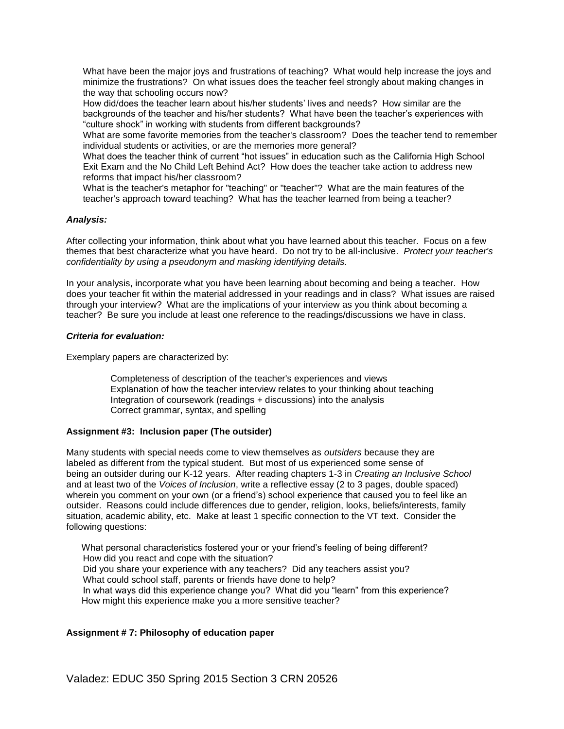What have been the major joys and frustrations of teaching? What would help increase the joys and minimize the frustrations? On what issues does the teacher feel strongly about making changes in the way that schooling occurs now?

How did/does the teacher learn about his/her students' lives and needs? How similar are the backgrounds of the teacher and his/her students? What have been the teacher's experiences with "culture shock" in working with students from different backgrounds?

What are some favorite memories from the teacher's classroom? Does the teacher tend to remember individual students or activities, or are the memories more general?

What does the teacher think of current "hot issues" in education such as the California High School Exit Exam and the No Child Left Behind Act? How does the teacher take action to address new reforms that impact his/her classroom?

What is the teacher's metaphor for "teaching" or "teacher"? What are the main features of the teacher's approach toward teaching? What has the teacher learned from being a teacher?

## *Analysis:*

After collecting your information, think about what you have learned about this teacher. Focus on a few themes that best characterize what you have heard. Do not try to be all-inclusive. *Protect your teacher's confidentiality by using a pseudonym and masking identifying details.*

In your analysis, incorporate what you have been learning about becoming and being a teacher. How does your teacher fit within the material addressed in your readings and in class? What issues are raised through your interview? What are the implications of your interview as you think about becoming a teacher? Be sure you include at least one reference to the readings/discussions we have in class.

## *Criteria for evaluation:*

Exemplary papers are characterized by:

Completeness of description of the teacher's experiences and views Explanation of how the teacher interview relates to your thinking about teaching Integration of coursework (readings + discussions) into the analysis Correct grammar, syntax, and spelling

## **Assignment #3: Inclusion paper (The outsider)**

Many students with special needs come to view themselves as *outsiders* because they are labeled as different from the typical student. But most of us experienced some sense of being an outsider during our K-12 years. After reading chapters 1-3 in *Creating an Inclusive School* and at least two of the *Voices of Inclusion*, write a reflective essay (2 to 3 pages, double spaced) wherein you comment on your own (or a friend's) school experience that caused you to feel like an outsider. Reasons could include differences due to gender, religion, looks, beliefs/interests, family situation, academic ability, etc. Make at least 1 specific connection to the VT text. Consider the following questions:

 What personal characteristics fostered your or your friend's feeling of being different? How did you react and cope with the situation? Did you share your experience with any teachers? Did any teachers assist you? What could school staff, parents or friends have done to help? In what ways did this experience change you? What did you "learn" from this experience? How might this experience make you a more sensitive teacher?

## **Assignment # 7: Philosophy of education paper**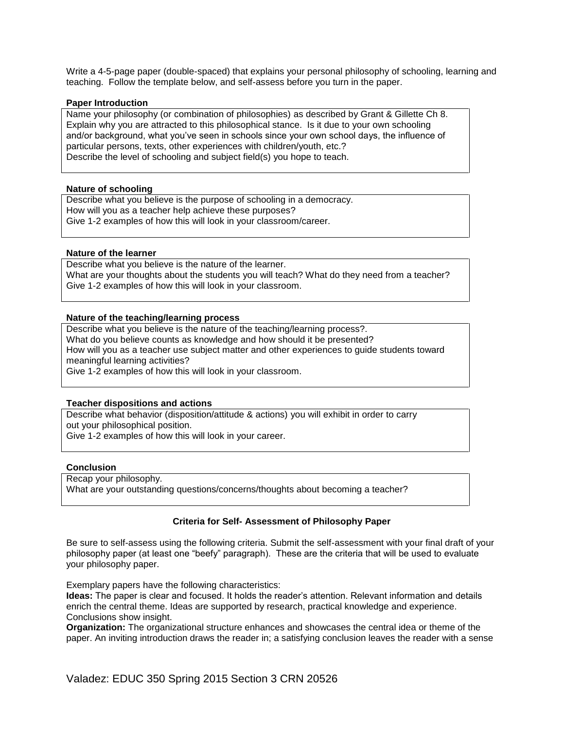Write a 4-5-page paper (double-spaced) that explains your personal philosophy of schooling, learning and teaching. Follow the template below, and self-assess before you turn in the paper.

#### **Paper Introduction**

Name your philosophy (or combination of philosophies) as described by Grant & Gillette Ch 8. Explain why you are attracted to this philosophical stance. Is it due to your own schooling and/or background, what you've seen in schools since your own school days, the influence of particular persons, texts, other experiences with children/youth, etc.? Describe the level of schooling and subject field(s) you hope to teach.

#### **Nature of schooling**

Describe what you believe is the purpose of schooling in a democracy. How will you as a teacher help achieve these purposes? Give 1-2 examples of how this will look in your classroom/career.

#### **Nature of the learner**

Describe what you believe is the nature of the learner. What are your thoughts about the students you will teach? What do they need from a teacher? Give 1-2 examples of how this will look in your classroom.

#### **Nature of the teaching/learning process**

Describe what you believe is the nature of the teaching/learning process?. What do you believe counts as knowledge and how should it be presented? How will you as a teacher use subject matter and other experiences to guide students toward meaningful learning activities? Give 1-2 examples of how this will look in your classroom.

#### **Teacher dispositions and actions**

Describe what behavior (disposition/attitude & actions) you will exhibit in order to carry out your philosophical position.

Give 1-2 examples of how this will look in your career.

#### **Conclusion**

Recap your philosophy.

What are your outstanding questions/concerns/thoughts about becoming a teacher?

## **Criteria for Self- Assessment of Philosophy Paper**

Be sure to self-assess using the following criteria. Submit the self-assessment with your final draft of your philosophy paper (at least one "beefy" paragraph). These are the criteria that will be used to evaluate your philosophy paper.

Exemplary papers have the following characteristics:

**Ideas:** The paper is clear and focused. It holds the reader's attention. Relevant information and details enrich the central theme. Ideas are supported by research, practical knowledge and experience. Conclusions show insight.

**Organization:** The organizational structure enhances and showcases the central idea or theme of the paper. An inviting introduction draws the reader in; a satisfying conclusion leaves the reader with a sense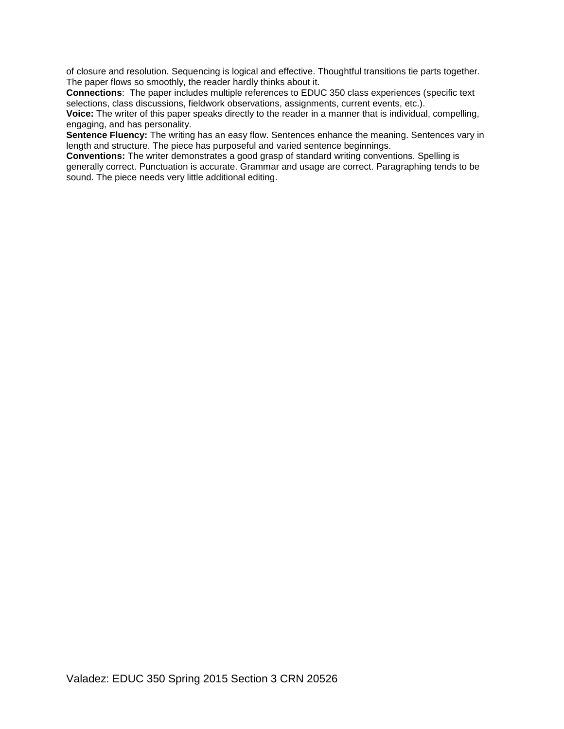of closure and resolution. Sequencing is logical and effective. Thoughtful transitions tie parts together. The paper flows so smoothly, the reader hardly thinks about it.

**Connections**: The paper includes multiple references to EDUC 350 class experiences (specific text selections, class discussions, fieldwork observations, assignments, current events, etc.).

**Voice:** The writer of this paper speaks directly to the reader in a manner that is individual, compelling, engaging, and has personality.

**Sentence Fluency:** The writing has an easy flow. Sentences enhance the meaning. Sentences vary in length and structure. The piece has purposeful and varied sentence beginnings.

**Conventions:** The writer demonstrates a good grasp of standard writing conventions. Spelling is generally correct. Punctuation is accurate. Grammar and usage are correct. Paragraphing tends to be sound. The piece needs very little additional editing.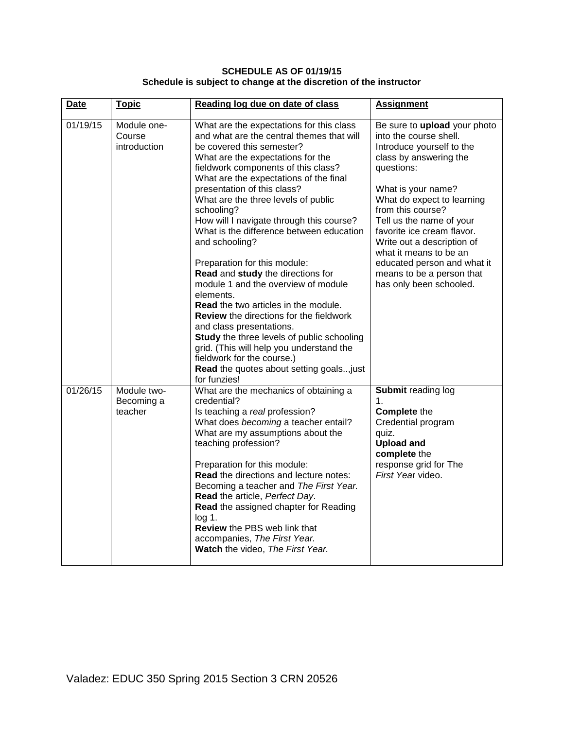## **SCHEDULE AS OF 01/19/15 Schedule is subject to change at the discretion of the instructor**

| <b>Date</b> | <b>Topic</b>                          | Reading log due on date of class                                                                                                                                                                                                                                                                                                                                                                                                                                                                                                                                                                                                                                                                                                                                                                                                                                                 | <b>Assignment</b>                                                                                                                                                                                                                                                                                                                                                                                             |
|-------------|---------------------------------------|----------------------------------------------------------------------------------------------------------------------------------------------------------------------------------------------------------------------------------------------------------------------------------------------------------------------------------------------------------------------------------------------------------------------------------------------------------------------------------------------------------------------------------------------------------------------------------------------------------------------------------------------------------------------------------------------------------------------------------------------------------------------------------------------------------------------------------------------------------------------------------|---------------------------------------------------------------------------------------------------------------------------------------------------------------------------------------------------------------------------------------------------------------------------------------------------------------------------------------------------------------------------------------------------------------|
| 01/19/15    | Module one-<br>Course<br>introduction | What are the expectations for this class<br>and what are the central themes that will<br>be covered this semester?<br>What are the expectations for the<br>fieldwork components of this class?<br>What are the expectations of the final<br>presentation of this class?<br>What are the three levels of public<br>schooling?<br>How will I navigate through this course?<br>What is the difference between education<br>and schooling?<br>Preparation for this module:<br>Read and study the directions for<br>module 1 and the overview of module<br>elements.<br><b>Read</b> the two articles in the module.<br><b>Review</b> the directions for the fieldwork<br>and class presentations.<br>Study the three levels of public schooling<br>grid. (This will help you understand the<br>fieldwork for the course.)<br>Read the quotes about setting goals just<br>for funzies! | Be sure to upload your photo<br>into the course shell.<br>Introduce yourself to the<br>class by answering the<br>questions:<br>What is your name?<br>What do expect to learning<br>from this course?<br>Tell us the name of your<br>favorite ice cream flavor.<br>Write out a description of<br>what it means to be an<br>educated person and what it<br>means to be a person that<br>has only been schooled. |
| 01/26/15    | Module two-<br>Becoming a<br>teacher  | What are the mechanics of obtaining a<br>credential?<br>Is teaching a real profession?<br>What does becoming a teacher entail?<br>What are my assumptions about the<br>teaching profession?<br>Preparation for this module:<br>Read the directions and lecture notes:<br>Becoming a teacher and The First Year.<br>Read the article, Perfect Day.<br>Read the assigned chapter for Reading<br>$log 1$ .<br><b>Review the PBS web link that</b><br>accompanies, The First Year.<br>Watch the video, The First Year.                                                                                                                                                                                                                                                                                                                                                               | Submit reading log<br>1.<br><b>Complete the</b><br>Credential program<br>quiz.<br><b>Upload and</b><br>complete the<br>response grid for The<br>First Year video.                                                                                                                                                                                                                                             |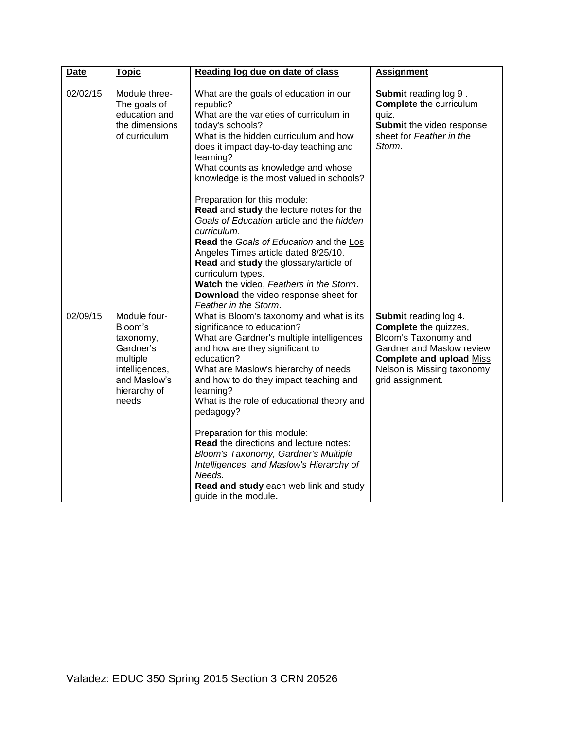| <b>Date</b> | <b>Topic</b>                                                                                                             | Reading log due on date of class                                                                                                                                                                                                                                                                                                                                                                                                                                                                                                                                                                                                                                                                            | <b>Assignment</b>                                                                                                                                                                               |
|-------------|--------------------------------------------------------------------------------------------------------------------------|-------------------------------------------------------------------------------------------------------------------------------------------------------------------------------------------------------------------------------------------------------------------------------------------------------------------------------------------------------------------------------------------------------------------------------------------------------------------------------------------------------------------------------------------------------------------------------------------------------------------------------------------------------------------------------------------------------------|-------------------------------------------------------------------------------------------------------------------------------------------------------------------------------------------------|
| 02/02/15    | Module three-<br>The goals of<br>education and<br>the dimensions<br>of curriculum                                        | What are the goals of education in our<br>republic?<br>What are the varieties of curriculum in<br>today's schools?<br>What is the hidden curriculum and how<br>does it impact day-to-day teaching and<br>learning?<br>What counts as knowledge and whose<br>knowledge is the most valued in schools?<br>Preparation for this module:<br>Read and study the lecture notes for the<br>Goals of Education article and the hidden<br>curriculum.<br>Read the Goals of Education and the Los<br>Angeles Times article dated 8/25/10.<br>Read and study the glossary/article of<br>curriculum types.<br>Watch the video, Feathers in the Storm.<br>Download the video response sheet for<br>Feather in the Storm. | <b>Submit reading log 9.</b><br><b>Complete</b> the curriculum<br>quiz.<br>Submit the video response<br>sheet for Feather in the<br>Storm.                                                      |
| 02/09/15    | Module four-<br>Bloom's<br>taxonomy,<br>Gardner's<br>multiple<br>intelligences,<br>and Maslow's<br>hierarchy of<br>needs | What is Bloom's taxonomy and what is its<br>significance to education?<br>What are Gardner's multiple intelligences<br>and how are they significant to<br>education?<br>What are Maslow's hierarchy of needs<br>and how to do they impact teaching and<br>learning?<br>What is the role of educational theory and<br>pedagogy?<br>Preparation for this module:<br>Read the directions and lecture notes:<br>Bloom's Taxonomy, Gardner's Multiple<br>Intelligences, and Maslow's Hierarchy of<br>Needs.<br>Read and study each web link and study<br>guide in the module.                                                                                                                                    | Submit reading log 4.<br>Complete the quizzes,<br>Bloom's Taxonomy and<br>Gardner and Maslow review<br><b>Complete and upload Miss</b><br><b>Nelson is Missing taxonomy</b><br>grid assignment. |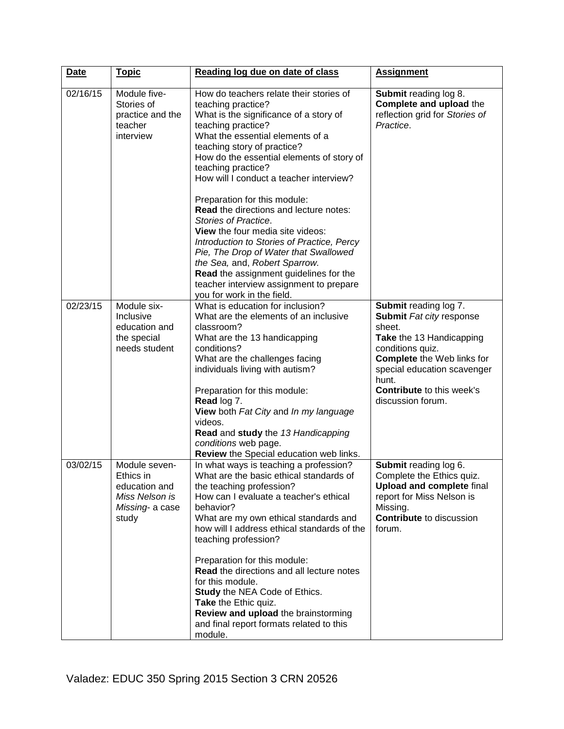| <b>Date</b> | <b>Topic</b>                                                                              | Reading log due on date of class                                                                                                                                                                                                                                                                                                                                                                                                                                                                                                                                                                                                                                                                       | <b>Assignment</b>                                                                                                                                                                                                                                        |
|-------------|-------------------------------------------------------------------------------------------|--------------------------------------------------------------------------------------------------------------------------------------------------------------------------------------------------------------------------------------------------------------------------------------------------------------------------------------------------------------------------------------------------------------------------------------------------------------------------------------------------------------------------------------------------------------------------------------------------------------------------------------------------------------------------------------------------------|----------------------------------------------------------------------------------------------------------------------------------------------------------------------------------------------------------------------------------------------------------|
| 02/16/15    | Module five-<br>Stories of<br>practice and the<br>teacher<br>interview                    | How do teachers relate their stories of<br>teaching practice?<br>What is the significance of a story of<br>teaching practice?<br>What the essential elements of a<br>teaching story of practice?<br>How do the essential elements of story of<br>teaching practice?<br>How will I conduct a teacher interview?<br>Preparation for this module:<br><b>Read the directions and lecture notes:</b><br>Stories of Practice.<br>View the four media site videos:<br>Introduction to Stories of Practice, Percy<br>Pie, The Drop of Water that Swallowed<br>the Sea, and, Robert Sparrow.<br>Read the assignment guidelines for the<br>teacher interview assignment to prepare<br>you for work in the field. | Submit reading log 8.<br>Complete and upload the<br>reflection grid for Stories of<br>Practice.                                                                                                                                                          |
| 02/23/15    | Module six-<br>Inclusive<br>education and<br>the special<br>needs student                 | What is education for inclusion?<br>What are the elements of an inclusive<br>classroom?<br>What are the 13 handicapping<br>conditions?<br>What are the challenges facing<br>individuals living with autism?<br>Preparation for this module:<br>Read log 7.<br>View both Fat City and In my language<br>videos.<br>Read and study the 13 Handicapping<br>conditions web page.<br>Review the Special education web links.                                                                                                                                                                                                                                                                                | <b>Submit reading log 7.</b><br>Submit Fat city response<br>sheet.<br>Take the 13 Handicapping<br>conditions quiz.<br><b>Complete</b> the Web links for<br>special education scavenger<br>hunt.<br><b>Contribute to this week's</b><br>discussion forum. |
| 03/02/15    | Module seven-<br>Ethics in<br>education and<br>Miss Nelson is<br>Missing- a case<br>study | In what ways is teaching a profession?<br>What are the basic ethical standards of<br>the teaching profession?<br>How can I evaluate a teacher's ethical<br>behavior?<br>What are my own ethical standards and<br>how will I address ethical standards of the<br>teaching profession?<br>Preparation for this module:<br>Read the directions and all lecture notes<br>for this module.<br>Study the NEA Code of Ethics.<br>Take the Ethic quiz.<br>Review and upload the brainstorming<br>and final report formats related to this<br>module.                                                                                                                                                           | Submit reading log 6.<br>Complete the Ethics quiz.<br><b>Upload and complete final</b><br>report for Miss Nelson is<br>Missing.<br><b>Contribute</b> to discussion<br>forum.                                                                             |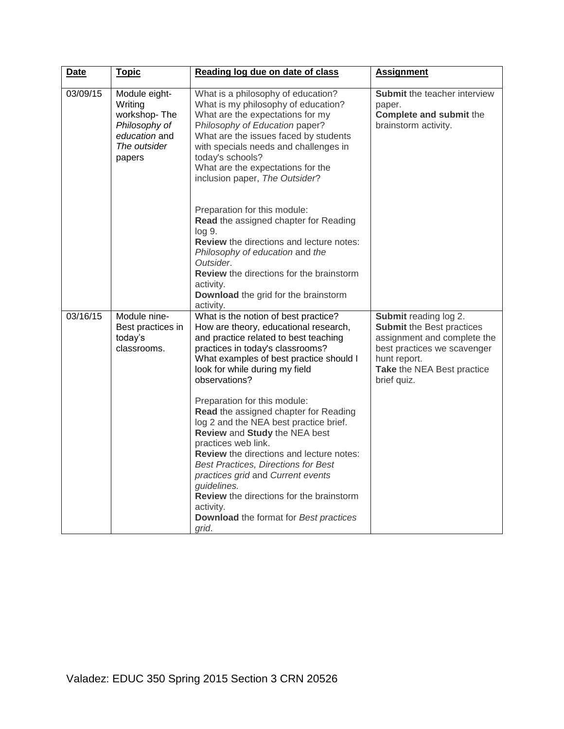| <b>Date</b> | <b>Topic</b>                                                                                         | Reading log due on date of class                                                                                                                                                                                                                                                                                                                                                                                                                                                                                                                                                                                                                                                                     | <b>Assignment</b>                                                                                                                                                                    |
|-------------|------------------------------------------------------------------------------------------------------|------------------------------------------------------------------------------------------------------------------------------------------------------------------------------------------------------------------------------------------------------------------------------------------------------------------------------------------------------------------------------------------------------------------------------------------------------------------------------------------------------------------------------------------------------------------------------------------------------------------------------------------------------------------------------------------------------|--------------------------------------------------------------------------------------------------------------------------------------------------------------------------------------|
| 03/09/15    | Module eight-<br>Writing<br>workshop-The<br>Philosophy of<br>education and<br>The outsider<br>papers | What is a philosophy of education?<br>What is my philosophy of education?<br>What are the expectations for my<br>Philosophy of Education paper?<br>What are the issues faced by students<br>with specials needs and challenges in<br>today's schools?<br>What are the expectations for the<br>inclusion paper, The Outsider?                                                                                                                                                                                                                                                                                                                                                                         | <b>Submit the teacher interview</b><br>paper.<br><b>Complete and submit the</b><br>brainstorm activity.                                                                              |
|             |                                                                                                      | Preparation for this module:<br>Read the assigned chapter for Reading<br>$log 9$ .<br><b>Review</b> the directions and lecture notes:<br>Philosophy of education and the<br>Outsider.<br>Review the directions for the brainstorm<br>activity.<br>Download the grid for the brainstorm<br>activity.                                                                                                                                                                                                                                                                                                                                                                                                  |                                                                                                                                                                                      |
| 03/16/15    | Module nine-<br>Best practices in<br>today's<br>classrooms.                                          | What is the notion of best practice?<br>How are theory, educational research,<br>and practice related to best teaching<br>practices in today's classrooms?<br>What examples of best practice should I<br>look for while during my field<br>observations?<br>Preparation for this module:<br>Read the assigned chapter for Reading<br>log 2 and the NEA best practice brief.<br>Review and Study the NEA best<br>practices web link.<br>Review the directions and lecture notes:<br><b>Best Practices, Directions for Best</b><br>practices grid and Current events<br>guidelines.<br><b>Review</b> the directions for the brainstorm<br>activity.<br>Download the format for Best practices<br>grid. | Submit reading log 2.<br><b>Submit the Best practices</b><br>assignment and complete the<br>best practices we scavenger<br>hunt report.<br>Take the NEA Best practice<br>brief quiz. |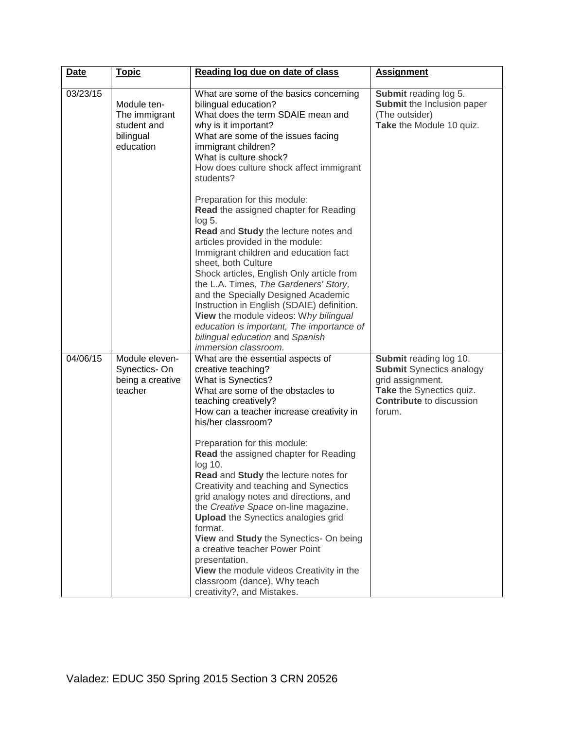| Date     | <b>Topic</b>                                                          | Reading log due on date of class                                                                                                                                                                                                                                                                                                                                                                                                                                                                                                                                                                                                                                                                                                    | <b>Assignment</b>                                                                                                                                      |
|----------|-----------------------------------------------------------------------|-------------------------------------------------------------------------------------------------------------------------------------------------------------------------------------------------------------------------------------------------------------------------------------------------------------------------------------------------------------------------------------------------------------------------------------------------------------------------------------------------------------------------------------------------------------------------------------------------------------------------------------------------------------------------------------------------------------------------------------|--------------------------------------------------------------------------------------------------------------------------------------------------------|
| 03/23/15 | Module ten-<br>The immigrant<br>student and<br>bilingual<br>education | What are some of the basics concerning<br>bilingual education?<br>What does the term SDAIE mean and<br>why is it important?<br>What are some of the issues facing<br>immigrant children?<br>What is culture shock?<br>How does culture shock affect immigrant<br>students?                                                                                                                                                                                                                                                                                                                                                                                                                                                          | Submit reading log 5.<br>Submit the Inclusion paper<br>(The outsider)<br>Take the Module 10 quiz.                                                      |
|          |                                                                       | Preparation for this module:<br>Read the assigned chapter for Reading<br>$log 5$ .<br>Read and Study the lecture notes and<br>articles provided in the module:<br>Immigrant children and education fact<br>sheet, both Culture<br>Shock articles, English Only article from<br>the L.A. Times, The Gardeners' Story,<br>and the Specially Designed Academic<br>Instruction in English (SDAIE) definition.<br>View the module videos: Why bilingual<br>education is important, The importance of<br>bilingual education and Spanish<br>immersion classroom.                                                                                                                                                                          |                                                                                                                                                        |
| 04/06/15 | Module eleven-<br>Synectics-On<br>being a creative<br>teacher         | What are the essential aspects of<br>creative teaching?<br>What is Synectics?<br>What are some of the obstacles to<br>teaching creatively?<br>How can a teacher increase creativity in<br>his/her classroom?<br>Preparation for this module:<br>Read the assigned chapter for Reading<br>log 10.<br>Read and Study the lecture notes for<br>Creativity and teaching and Synectics<br>grid analogy notes and directions, and<br>the Creative Space on-line magazine.<br><b>Upload</b> the Synectics analogies grid<br>format.<br>View and Study the Synectics- On being<br>a creative teacher Power Point<br>presentation.<br>View the module videos Creativity in the<br>classroom (dance), Why teach<br>creativity?, and Mistakes. | Submit reading log 10.<br><b>Submit Synectics analogy</b><br>grid assignment.<br>Take the Synectics quiz.<br><b>Contribute</b> to discussion<br>forum. |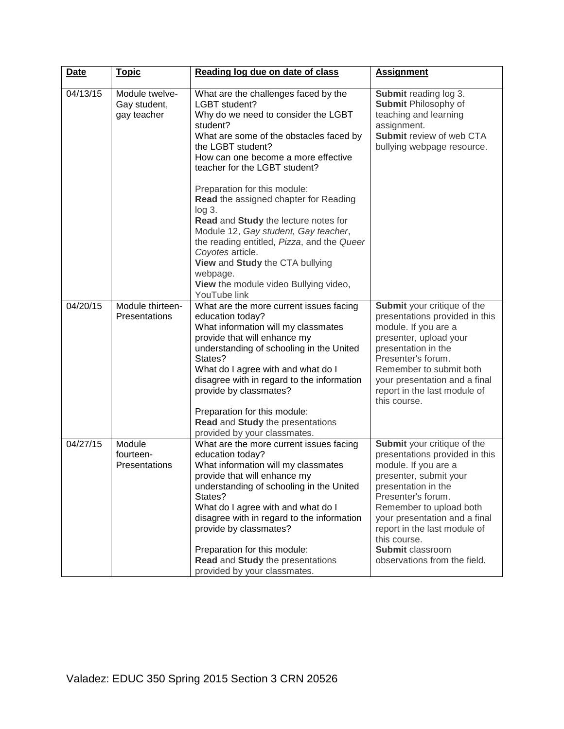| Date     | <u>Topic</u>                                  | Reading log due on date of class                                                                                                                                                                                                                                                                                                                                                                                                                                                                                            | <b>Assignment</b>                                                                                                                                                                                                                                                                                                                   |
|----------|-----------------------------------------------|-----------------------------------------------------------------------------------------------------------------------------------------------------------------------------------------------------------------------------------------------------------------------------------------------------------------------------------------------------------------------------------------------------------------------------------------------------------------------------------------------------------------------------|-------------------------------------------------------------------------------------------------------------------------------------------------------------------------------------------------------------------------------------------------------------------------------------------------------------------------------------|
| 04/13/15 | Module twelve-<br>Gay student,<br>gay teacher | What are the challenges faced by the<br>LGBT student?<br>Why do we need to consider the LGBT<br>student?<br>What are some of the obstacles faced by<br>the LGBT student?<br>How can one become a more effective<br>teacher for the LGBT student?<br>Preparation for this module:<br>Read the assigned chapter for Reading<br>$log 3$ .<br>Read and Study the lecture notes for<br>Module 12, Gay student, Gay teacher,<br>the reading entitled, Pizza, and the Queer<br>Coyotes article.<br>View and Study the CTA bullying | Submit reading log 3.<br>Submit Philosophy of<br>teaching and learning<br>assignment.<br>Submit review of web CTA<br>bullying webpage resource.                                                                                                                                                                                     |
|          |                                               | webpage.<br>View the module video Bullying video,<br>YouTube link                                                                                                                                                                                                                                                                                                                                                                                                                                                           |                                                                                                                                                                                                                                                                                                                                     |
| 04/20/15 | Module thirteen-<br>Presentations             | What are the more current issues facing<br>education today?<br>What information will my classmates<br>provide that will enhance my<br>understanding of schooling in the United<br>States?<br>What do I agree with and what do I<br>disagree with in regard to the information<br>provide by classmates?<br>Preparation for this module:<br>Read and Study the presentations<br>provided by your classmates.                                                                                                                 | Submit your critique of the<br>presentations provided in this<br>module. If you are a<br>presenter, upload your<br>presentation in the<br>Presenter's forum.<br>Remember to submit both<br>your presentation and a final<br>report in the last module of<br>this course.                                                            |
| 04/27/15 | Module<br>fourteen-<br><b>Presentations</b>   | What are the more current issues facing<br>education today?<br>What information will my classmates<br>provide that will enhance my<br>understanding of schooling in the United<br>States?<br>What do I agree with and what do I<br>disagree with in regard to the information<br>provide by classmates?<br>Preparation for this module:<br>Read and Study the presentations<br>provided by your classmates.                                                                                                                 | Submit your critique of the<br>presentations provided in this<br>module. If you are a<br>presenter, submit your<br>presentation in the<br>Presenter's forum.<br>Remember to upload both<br>your presentation and a final<br>report in the last module of<br>this course.<br><b>Submit classroom</b><br>observations from the field. |